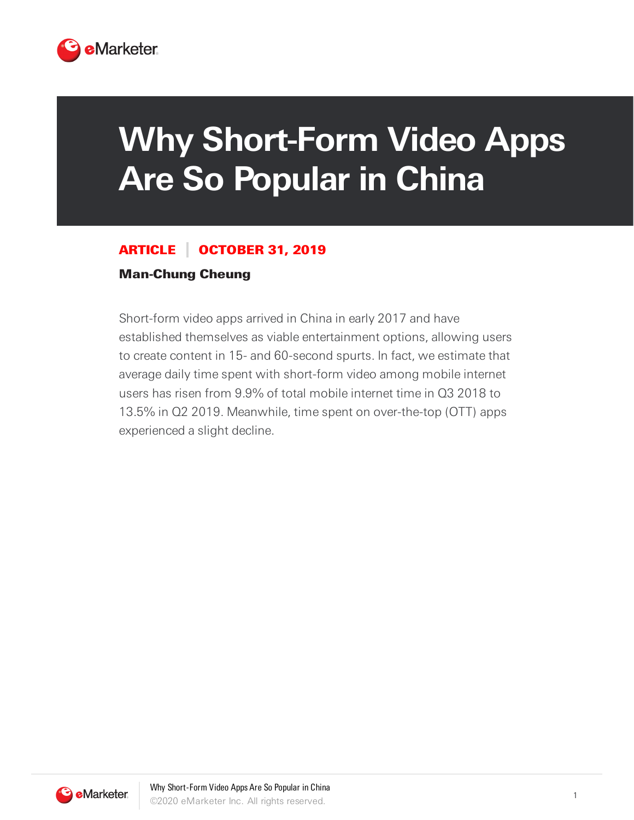

## **Why Short-Form Video Apps Are So Popular in China**

## ARTICLE OCTOBER 31, 2019

## Man-Chung Cheung

Short-form video apps arrived in China in early 2017 and have established themselves as viable entertainment options, allowing users to create content in 15- and 60-second spurts. In fact, we estimate that average daily time spent with short-form video among mobile internet users has risen from 9.9% of total mobile internet time in Q3 2018 to 13.5% in Q2 2019. Meanwhile, time spent on over-the-top (OTT) apps experienced a slight decline.

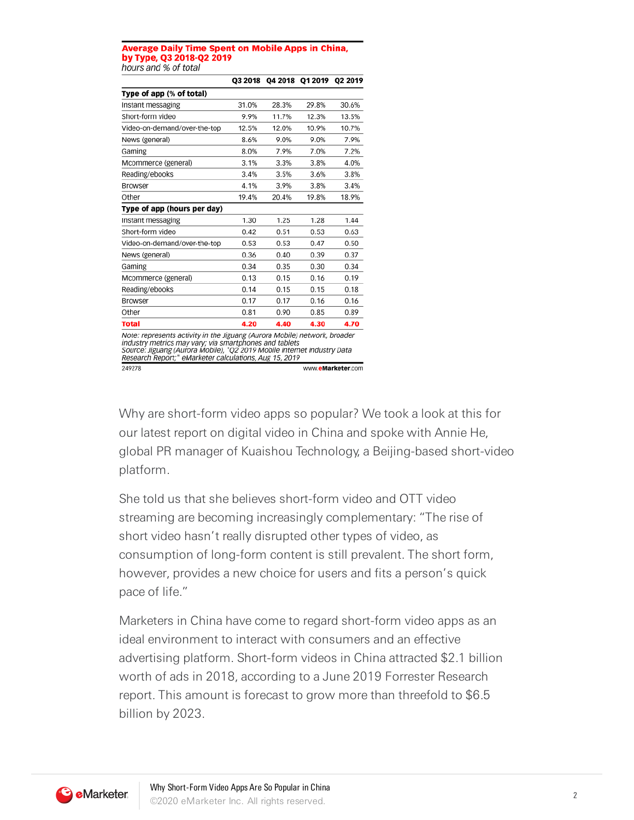## **Average Daily Time Spent on Mobile Apps in China,** by Type, Q3 2018-Q2 2019 hours and % of total

|                                                                                                                                                                                                                                                                          | Q3 2018 |       | Q4 2018 Q1 2019 | Q2 2019           |
|--------------------------------------------------------------------------------------------------------------------------------------------------------------------------------------------------------------------------------------------------------------------------|---------|-------|-----------------|-------------------|
| Type of app (% of total)                                                                                                                                                                                                                                                 |         |       |                 |                   |
| Instant messaging                                                                                                                                                                                                                                                        | 31.0%   | 28.3% | 29.8%           | 30.6%             |
| Short-form video                                                                                                                                                                                                                                                         | 9.9%    | 11.7% | 12.3%           | 13.5%             |
| Video-on-demand/over-the-top                                                                                                                                                                                                                                             | 12.5%   | 12.0% | 10.9%           | 10.7%             |
| News (general)                                                                                                                                                                                                                                                           | 8.6%    | 9.0%  | 9.0%            | 7.9%              |
| Gaming                                                                                                                                                                                                                                                                   | 8.0%    | 7.9%  | 7.0%            | 7.2%              |
| Mcommerce (general)                                                                                                                                                                                                                                                      | 3.1%    | 3.3%  | 3.8%            | 4.0%              |
| Reading/ebooks                                                                                                                                                                                                                                                           | 3.4%    | 3.5%  | 3.6%            | 3.8%              |
| Browser                                                                                                                                                                                                                                                                  | 4.1%    | 3.9%  | 3.8%            | 3.4%              |
| Other                                                                                                                                                                                                                                                                    | 19.4%   | 20.4% | 19.8%           | 18.9%             |
| Type of app (hours per day)                                                                                                                                                                                                                                              |         |       |                 |                   |
| Instant messaging                                                                                                                                                                                                                                                        | 1.30    | 1.25  | 1.28            | 1.44              |
| Short-form video                                                                                                                                                                                                                                                         | 0.42    | 0.51  | 0.53            | 0.63              |
| Video-on-demand/over-the-top                                                                                                                                                                                                                                             | 0.53    | 0.53  | 0.47            | 0.50              |
| News (general)                                                                                                                                                                                                                                                           | 0.36    | 0.40  | 0.39            | 0.37              |
| Gaming                                                                                                                                                                                                                                                                   | 0.34    | 0.35  | 0.30            | 0.34              |
| Mcommerce (general)                                                                                                                                                                                                                                                      | 0.13    | 0.15  | 0.16            | 0.19              |
| Reading/ebooks                                                                                                                                                                                                                                                           | 0.14    | 0.15  | 0.15            | 0.18              |
| Browser                                                                                                                                                                                                                                                                  | 0.17    | 0.17  | 0.16            | 0.16              |
| Other                                                                                                                                                                                                                                                                    | 0.81    | 0.90  | 0.85            | 0.89              |
| <b>Total</b>                                                                                                                                                                                                                                                             | 4.20    | 4.40  | 4.30            | 4.70              |
| Note: represents activity in the Jiguang (Aurora Mobile) network, broader<br>industry metrics may vary; via smartphones and tablets<br>Source: Jiguang (Aurora Mobile), "Q2 2019 Mobile Internet Industry Data<br>Research Report;" eMarketer calculations, Aug 15, 2019 |         |       |                 |                   |
| 249278                                                                                                                                                                                                                                                                   |         |       |                 | www.eMarketer.com |

Why are short-form video apps so popular? We took a look at this for our latest report on digital video in China and spoke with Annie He, global PR manager of Kuaishou Technology, a Beijing-based short-video platform.

She told us that she believes short-form video and OTT video streaming are becoming increasingly complementary: "The rise of short video hasn't really disrupted other types of video, as consumption of long-form content is still prevalent. The short form, however, provides a new choice for users and fits a person's quick pace of life."

Marketers in China have come to regard short-form video apps as an ideal environment to interact with consumers and an effective advertising platform. Short-form videos in China attracted \$2.1 billion worth of ads in 2018, according to a June 2019 Forrester Research report. This amount is forecast to grow more than threefold to \$6.5 billion by 2023.

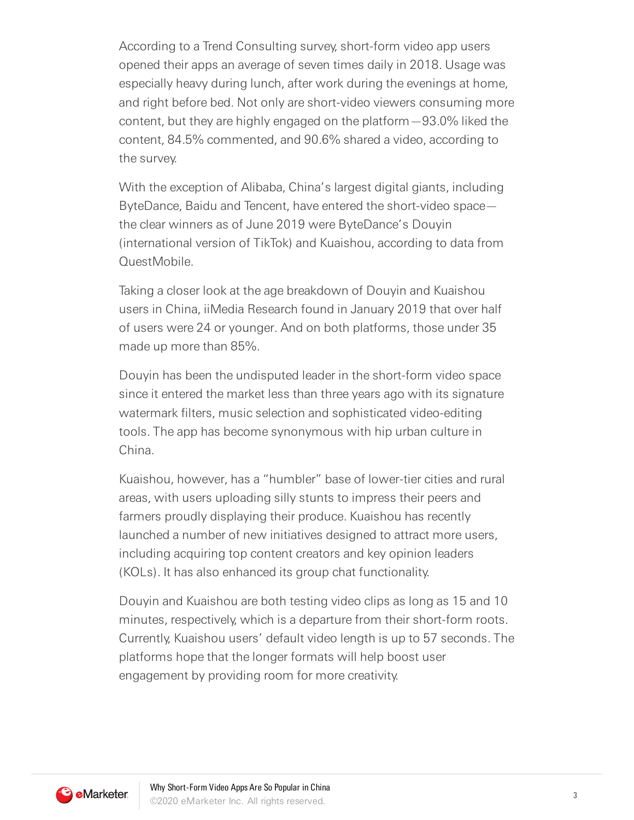According to a Trend Consulting survey, short-form video app users opened their apps an average of seven times daily in 2018. Usage was especially heavy during lunch, after work during the evenings at home, and right before bed. Not only are short-video viewers consuming more content, but they are highly engaged on the platform—93.0% liked the content, 84.5% commented, and 90.6% shared a video, according to the survey.

With the exception of Alibaba, China's largest digital giants, including ByteDance, Baidu and Tencent, have entered the short-video space the clear winners as of June 2019 were ByteDance's Douyin (international version of TikTok) and Kuaishou, according to data from QuestMobile.

Taking a closer look at the age breakdown of Douyin and Kuaishou users in China, iiMedia Research found in January 2019 that over half of users were 24 or younger. And on both platforms, those under 35 made up more than 85%.

Douyin has been the undisputed leader in the short-form video space since it entered the market less than three years ago with its signature watermark filters, music selection and sophisticated video-editing tools. The app has become synonymous with hip urban culture in China.

Kuaishou, however, has a "humbler" base of lower-tier cities and rural areas, with users uploading silly stunts to impress their peers and farmers proudly displaying their produce. Kuaishou has recently launched a number of new initiatives designed to attract more users, including acquiring top content creators and key opinion leaders (KOLs). It has also enhanced its group chat functionality.

Douyin and Kuaishou are both testing video clips as long as 15 and 10 minutes, respectively, which is a departure from their short-form roots. Currently, Kuaishou users' default video length is up to 57 seconds. The platforms hope that the longer formats will help boost user engagement by providing room for more creativity.